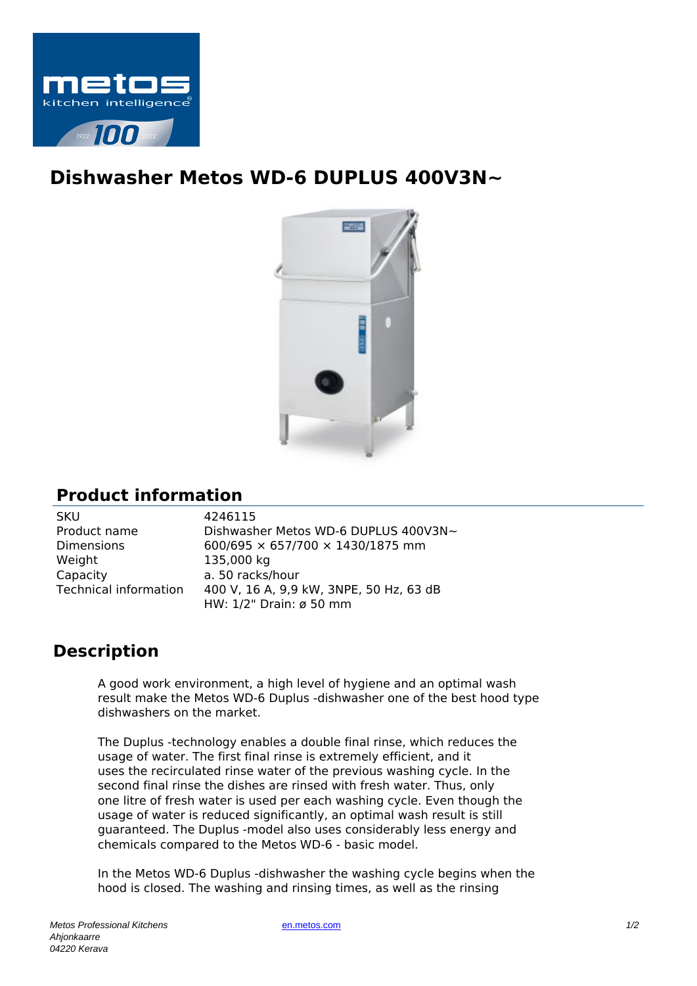

## **Dishwasher Metos WD-6 DUPLUS 400V3N~**



## **Product information**

| SKU                          |
|------------------------------|
| Product name                 |
| Dimensions                   |
| Weight                       |
| Capacity                     |
| <b>Technical information</b> |
|                              |

4246115 Dishwasher Metos WD-6 DUPLUS 400V3N~  $600/695 \times 657/700 \times 1430/1875$  mm 135,000 kg a. 50 racks/hour 400 V, 16 A, 9,9 kW, 3NPE, 50 Hz, 63 dB HW: 1/2" Drain: ø 50 mm

## **Description**

A good work environment, a high level of hygiene and an optimal wash result make the Metos WD-6 Duplus -dishwasher one of the best hood type dishwashers on the market.

The Duplus -technology enables a double final rinse, which reduces the usage of water. The first final rinse is extremely efficient, and it uses the recirculated rinse water of the previous washing cycle. In the second final rinse the dishes are rinsed with fresh water. Thus, only one litre of fresh water is used per each washing cycle. Even though the usage of water is reduced significantly, an optimal wash result is still guaranteed. The Duplus -model also uses considerably less energy and chemicals compared to the Metos WD-6 - basic model.

In the Metos WD-6 Duplus -dishwasher the washing cycle begins when the hood is closed. The washing and rinsing times, as well as the rinsing